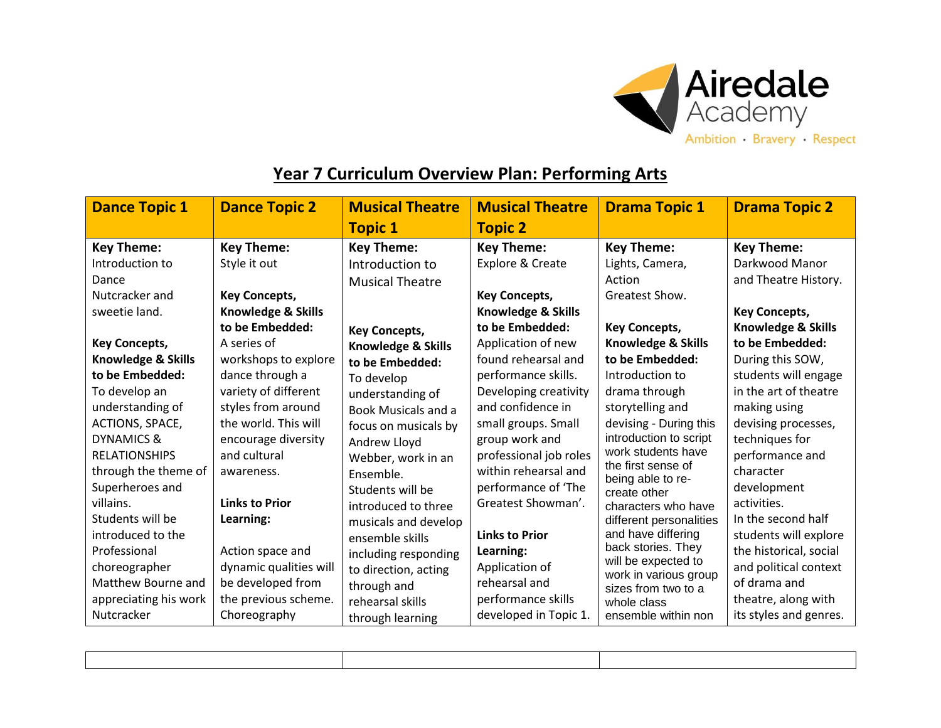

## **Year 7 Curriculum Overview Plan: Performing Arts**

| <b>Dance Topic 1</b>  | <b>Dance Topic 2</b>   | <b>Musical Theatre</b>        | <b>Musical Theatre</b>        | <b>Drama Topic 1</b>                         | <b>Drama Topic 2</b>   |
|-----------------------|------------------------|-------------------------------|-------------------------------|----------------------------------------------|------------------------|
|                       |                        | <b>Topic 1</b>                | <b>Topic 2</b>                |                                              |                        |
| <b>Key Theme:</b>     | <b>Key Theme:</b>      | <b>Key Theme:</b>             | <b>Key Theme:</b>             | <b>Key Theme:</b>                            | <b>Key Theme:</b>      |
| Introduction to       | Style it out           | Introduction to               | Explore & Create              | Lights, Camera,                              | Darkwood Manor         |
| Dance                 |                        | <b>Musical Theatre</b>        |                               | Action                                       | and Theatre History.   |
| Nutcracker and        | <b>Key Concepts,</b>   |                               | <b>Key Concepts,</b>          | Greatest Show.                               |                        |
| sweetie land.         | Knowledge & Skills     |                               | <b>Knowledge &amp; Skills</b> |                                              | <b>Key Concepts,</b>   |
|                       | to be Embedded:        | <b>Key Concepts,</b>          | to be Embedded:               | <b>Key Concepts,</b>                         | Knowledge & Skills     |
| <b>Key Concepts,</b>  | A series of            | <b>Knowledge &amp; Skills</b> | Application of new            | Knowledge & Skills                           | to be Embedded:        |
| Knowledge & Skills    | workshops to explore   | to be Embedded:               | found rehearsal and           | to be Embedded:                              | During this SOW,       |
| to be Embedded:       | dance through a        | To develop                    | performance skills.           | Introduction to                              | students will engage   |
| To develop an         | variety of different   | understanding of              | Developing creativity         | drama through                                | in the art of theatre  |
| understanding of      | styles from around     | <b>Book Musicals and a</b>    | and confidence in             | storytelling and                             | making using           |
| ACTIONS, SPACE,       | the world. This will   | focus on musicals by          | small groups. Small           | devising - During this                       | devising processes,    |
| DYNAMICS &            | encourage diversity    | Andrew Lloyd                  | group work and                | introduction to script                       | techniques for         |
| <b>RELATIONSHIPS</b>  | and cultural           | Webber, work in an            | professional job roles        | work students have<br>the first sense of     | performance and        |
| through the theme of  | awareness.             | Ensemble.                     | within rehearsal and          | being able to re-                            | character              |
| Superheroes and       |                        | Students will be              | performance of 'The           | create other                                 | development            |
| villains.             | <b>Links to Prior</b>  | introduced to three           | Greatest Showman'.            | characters who have                          | activities.            |
| Students will be      | Learning:              | musicals and develop          |                               | different personalities                      | In the second half     |
| introduced to the     |                        | ensemble skills               | <b>Links to Prior</b>         | and have differing                           | students will explore  |
| Professional          | Action space and       | including responding          | Learning:                     | back stories. They                           | the historical, social |
| choreographer         | dynamic qualities will | to direction, acting          | Application of                | will be expected to<br>work in various group | and political context  |
| Matthew Bourne and    | be developed from      | through and                   | rehearsal and                 | sizes from two to a                          | of drama and           |
| appreciating his work | the previous scheme.   | rehearsal skills              | performance skills            | whole class                                  | theatre, along with    |
| Nutcracker            | Choreography           | through learning              | developed in Topic 1.         | ensemble within non                          | its styles and genres. |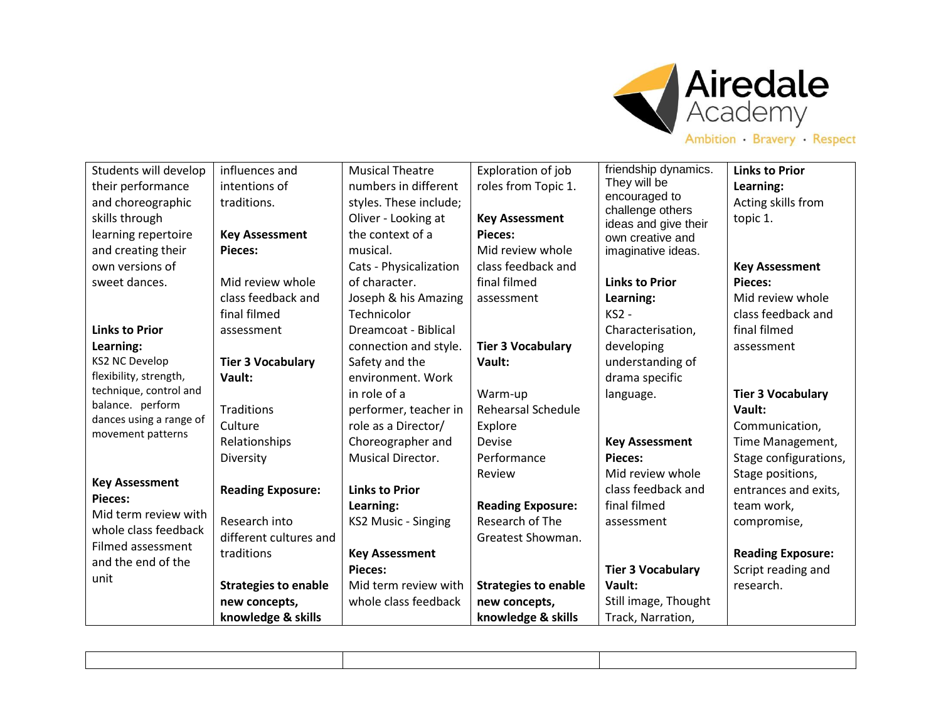

| Students will develop                        | influences and              | <b>Musical Theatre</b>   | Exploration of job          | friendship dynamics.                     | <b>Links to Prior</b>    |
|----------------------------------------------|-----------------------------|--------------------------|-----------------------------|------------------------------------------|--------------------------|
| their performance                            | intentions of               | numbers in different     | roles from Topic 1.         | They will be                             | Learning:                |
| and choreographic                            | traditions.                 | styles. These include;   |                             | encouraged to                            | Acting skills from       |
| skills through                               |                             | Oliver - Looking at      | <b>Key Assessment</b>       | challenge others<br>ideas and give their | topic 1.                 |
| learning repertoire                          | <b>Key Assessment</b>       | the context of a         | Pieces:                     | own creative and                         |                          |
| and creating their                           | Pieces:                     | musical.                 | Mid review whole            | imaginative ideas.                       |                          |
| own versions of                              |                             | Cats - Physicalization   | class feedback and          |                                          | <b>Key Assessment</b>    |
| sweet dances.                                | Mid review whole            | of character.            | final filmed                | <b>Links to Prior</b>                    | <b>Pieces:</b>           |
|                                              | class feedback and          | Joseph & his Amazing     | assessment                  | Learning:                                | Mid review whole         |
|                                              | final filmed                | Technicolor              |                             | <b>KS2 -</b>                             | class feedback and       |
| <b>Links to Prior</b>                        | assessment                  | Dreamcoat - Biblical     |                             | Characterisation,                        | final filmed             |
| Learning:                                    |                             | connection and style.    | <b>Tier 3 Vocabulary</b>    | developing                               | assessment               |
| <b>KS2 NC Develop</b>                        | <b>Tier 3 Vocabulary</b>    | Safety and the           | Vault:                      | understanding of                         |                          |
| flexibility, strength,                       | Vault:                      | environment. Work        |                             | drama specific                           |                          |
| technique, control and                       |                             | in role of a             | Warm-up                     | language.                                | <b>Tier 3 Vocabulary</b> |
| balance. perform                             | Traditions                  | performer, teacher in    | <b>Rehearsal Schedule</b>   |                                          | Vault:                   |
| dances using a range of<br>movement patterns | Culture                     | role as a Director/      | Explore                     |                                          | Communication,           |
|                                              | Relationships               | Choreographer and        | <b>Devise</b>               | <b>Key Assessment</b>                    | Time Management,         |
|                                              | Diversity                   | <b>Musical Director.</b> | Performance                 | Pieces:                                  | Stage configurations,    |
|                                              |                             |                          | Review                      | Mid review whole                         | Stage positions,         |
| <b>Key Assessment</b><br><b>Pieces:</b>      | <b>Reading Exposure:</b>    | <b>Links to Prior</b>    |                             | class feedback and                       | entrances and exits,     |
| Mid term review with                         |                             | Learning:                | <b>Reading Exposure:</b>    | final filmed                             | team work,               |
| whole class feedback                         | Research into               | KS2 Music - Singing      | Research of The             | assessment                               | compromise,              |
| Filmed assessment                            | different cultures and      |                          | Greatest Showman.           |                                          |                          |
| and the end of the                           | traditions                  | <b>Key Assessment</b>    |                             |                                          | <b>Reading Exposure:</b> |
| unit                                         |                             | <b>Pieces:</b>           |                             | <b>Tier 3 Vocabulary</b>                 | Script reading and       |
|                                              | <b>Strategies to enable</b> | Mid term review with     | <b>Strategies to enable</b> | Vault:                                   | research.                |
|                                              | new concepts,               | whole class feedback     | new concepts,               | Still image, Thought                     |                          |
|                                              | knowledge & skills          |                          | knowledge & skills          | Track, Narration,                        |                          |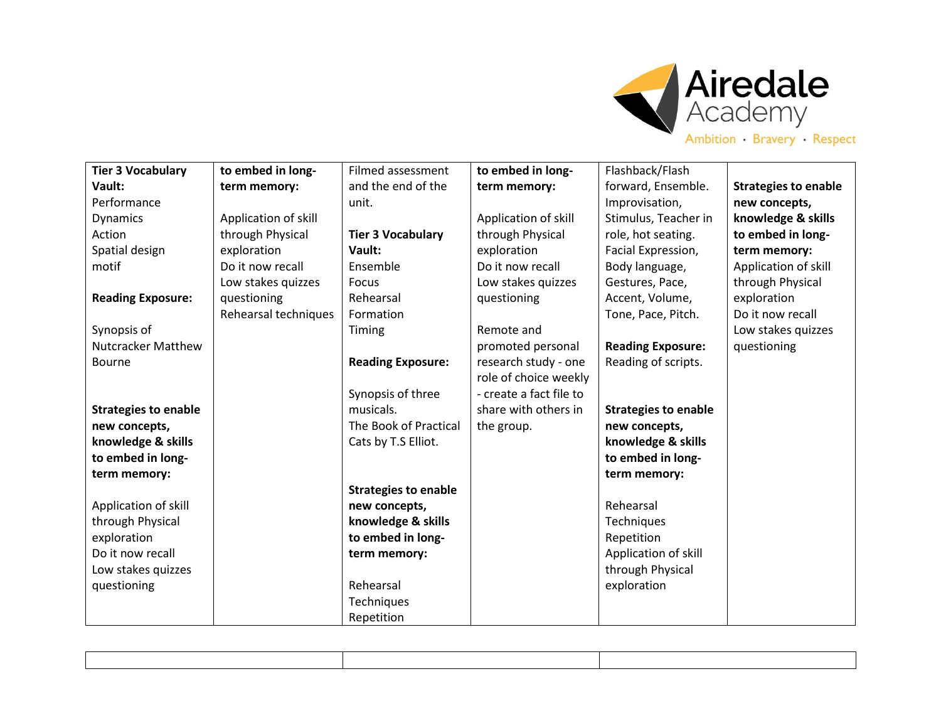

| Ambition Bravery Respect |  |  |
|--------------------------|--|--|
|--------------------------|--|--|

| <b>Tier 3 Vocabulary</b>    | to embed in long-    | Filmed assessment           | to embed in long-       | Flashback/Flash             |                             |
|-----------------------------|----------------------|-----------------------------|-------------------------|-----------------------------|-----------------------------|
| Vault:                      | term memory:         | and the end of the          | term memory:            | forward, Ensemble.          | <b>Strategies to enable</b> |
| Performance                 |                      | unit.                       |                         | Improvisation,              | new concepts,               |
| <b>Dynamics</b>             | Application of skill |                             | Application of skill    | Stimulus, Teacher in        | knowledge & skills          |
| Action                      | through Physical     | <b>Tier 3 Vocabulary</b>    | through Physical        | role, hot seating.          | to embed in long-           |
| Spatial design              | exploration          | Vault:                      | exploration             | Facial Expression,          | term memory:                |
| motif                       | Do it now recall     | Ensemble                    | Do it now recall        | Body language,              | Application of skill        |
|                             | Low stakes quizzes   | Focus                       | Low stakes quizzes      | Gestures, Pace,             | through Physical            |
| <b>Reading Exposure:</b>    | questioning          | Rehearsal                   | questioning             | Accent, Volume,             | exploration                 |
|                             | Rehearsal techniques | Formation                   |                         | Tone, Pace, Pitch.          | Do it now recall            |
| Synopsis of                 |                      | Timing                      | Remote and              |                             | Low stakes quizzes          |
| <b>Nutcracker Matthew</b>   |                      |                             | promoted personal       | <b>Reading Exposure:</b>    | questioning                 |
| <b>Bourne</b>               |                      | <b>Reading Exposure:</b>    | research study - one    | Reading of scripts.         |                             |
|                             |                      |                             | role of choice weekly   |                             |                             |
|                             |                      | Synopsis of three           | - create a fact file to |                             |                             |
| <b>Strategies to enable</b> |                      | musicals.                   | share with others in    | <b>Strategies to enable</b> |                             |
| new concepts,               |                      | The Book of Practical       | the group.              | new concepts,               |                             |
| knowledge & skills          |                      | Cats by T.S Elliot.         |                         | knowledge & skills          |                             |
| to embed in long-           |                      |                             |                         | to embed in long-           |                             |
| term memory:                |                      |                             |                         | term memory:                |                             |
|                             |                      | <b>Strategies to enable</b> |                         |                             |                             |
| Application of skill        |                      | new concepts,               |                         | Rehearsal                   |                             |
| through Physical            |                      | knowledge & skills          |                         | Techniques                  |                             |
| exploration                 |                      | to embed in long-           |                         | Repetition                  |                             |
| Do it now recall            |                      | term memory:                |                         | Application of skill        |                             |
| Low stakes quizzes          |                      |                             |                         | through Physical            |                             |
| questioning                 |                      | Rehearsal                   |                         | exploration                 |                             |
|                             |                      | Techniques                  |                         |                             |                             |
|                             |                      | Repetition                  |                         |                             |                             |